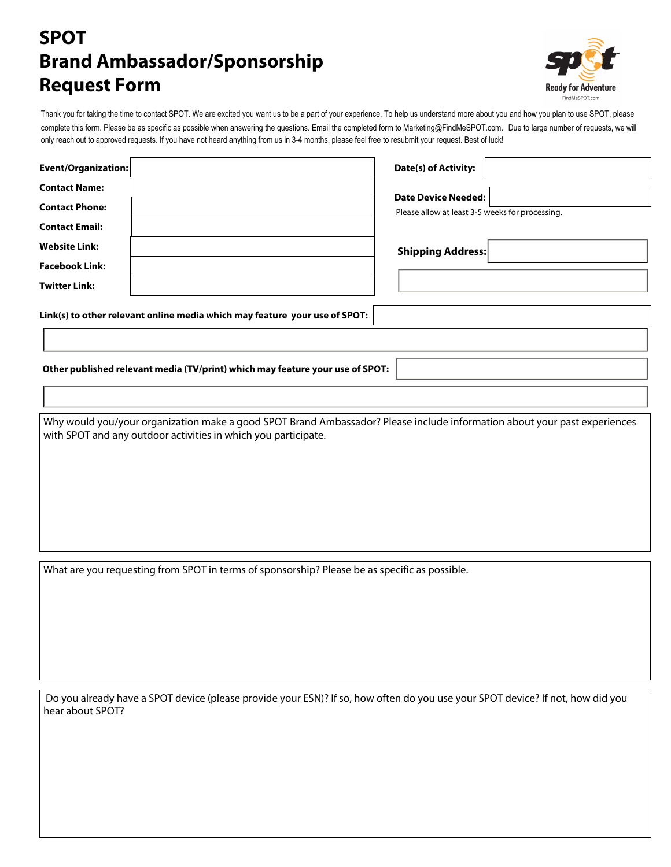## **SPOT Brand Ambassador/Sponsorship Request Form**



Thank you for taking the time to contact SPOT. We are excited you want us to be a part of your experience. To help us understand more about you and how you plan to use SPOT, please complete this form. Please be as specific as possible when answering the questions. Email the completed form to Marketing@FindMeSPOT.com. Due to large number of requests, we will only reach out to approved requests. If you have not heard anything from us in 3-4 months, please feel free to resubmit your request. Best of luck!

| Event/Organization:                           |                                                                            | Date(s) of Activity:                            |  |
|-----------------------------------------------|----------------------------------------------------------------------------|-------------------------------------------------|--|
| <b>Contact Name:</b><br><b>Contact Phone:</b> |                                                                            | <b>Date Device Needed:</b>                      |  |
| <b>Contact Email:</b>                         |                                                                            | Please allow at least 3-5 weeks for processing. |  |
| <b>Website Link:</b><br><b>Facebook Link:</b> |                                                                            | <b>Shipping Address:</b>                        |  |
| <b>Twitter Link:</b>                          |                                                                            |                                                 |  |
|                                               | Link(s) to other relevant online media which may feature your use of SPOT: |                                                 |  |

**Other published relevant media (TV/print) which may feature your use of SPOT:**

Why would you/your organization make a good SPOT Brand Ambassador? Please include information about your past experiences with SPOT and any outdoor activities in which you participate.

What are you requesting from SPOT in terms of sponsorship? Please be as specific as possible.

 Do you already have a SPOT device (please provide your ESN)? If so, how often do you use your SPOT device? If not, how did you hear about SPOT?